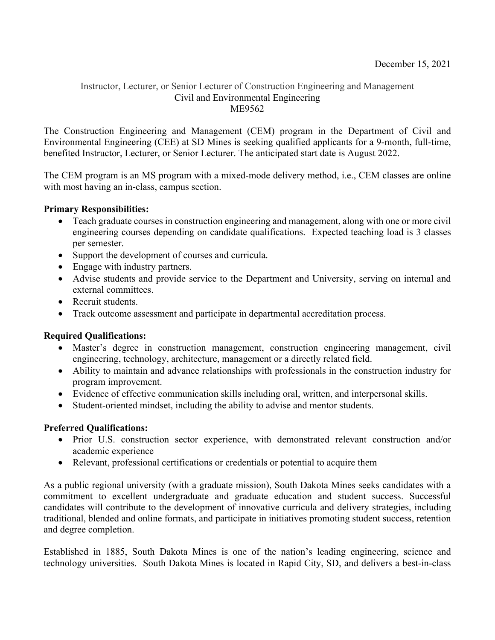## Instructor, Lecturer, or Senior Lecturer of Construction Engineering and Management Civil and Environmental Engineering ME9562

The Construction Engineering and Management (CEM) program in the Department of Civil and Environmental Engineering (CEE) at SD Mines is seeking qualified applicants for a 9-month, full-time, benefited Instructor, Lecturer, or Senior Lecturer. The anticipated start date is August 2022.

The CEM program is an MS program with a mixed-mode delivery method, i.e., CEM classes are online with most having an in-class, campus section.

## **Primary Responsibilities:**

- Teach graduate courses in construction engineering and management, along with one or more civil engineering courses depending on candidate qualifications. Expected teaching load is 3 classes per semester.
- Support the development of courses and curricula.
- Engage with industry partners.
- Advise students and provide service to the Department and University, serving on internal and external committees.
- Recruit students.
- Track outcome assessment and participate in departmental accreditation process.

# **Required Qualifications:**

- Master's degree in construction management, construction engineering management, civil engineering, technology, architecture, management or a directly related field.
- Ability to maintain and advance relationships with professionals in the construction industry for program improvement.
- Evidence of effective communication skills including oral, written, and interpersonal skills.
- Student-oriented mindset, including the ability to advise and mentor students.

## **Preferred Qualifications:**

- Prior U.S. construction sector experience, with demonstrated relevant construction and/or academic experience
- Relevant, professional certifications or credentials or potential to acquire them

As a public regional university (with a graduate mission), South Dakota Mines seeks candidates with a commitment to excellent undergraduate and graduate education and student success. Successful candidates will contribute to the development of innovative curricula and delivery strategies, including traditional, blended and online formats, and participate in initiatives promoting student success, retention and degree completion.

Established in 1885, South Dakota Mines is one of the nation's leading engineering, science and technology universities. South Dakota Mines is located in Rapid City, SD, and delivers a best-in-class